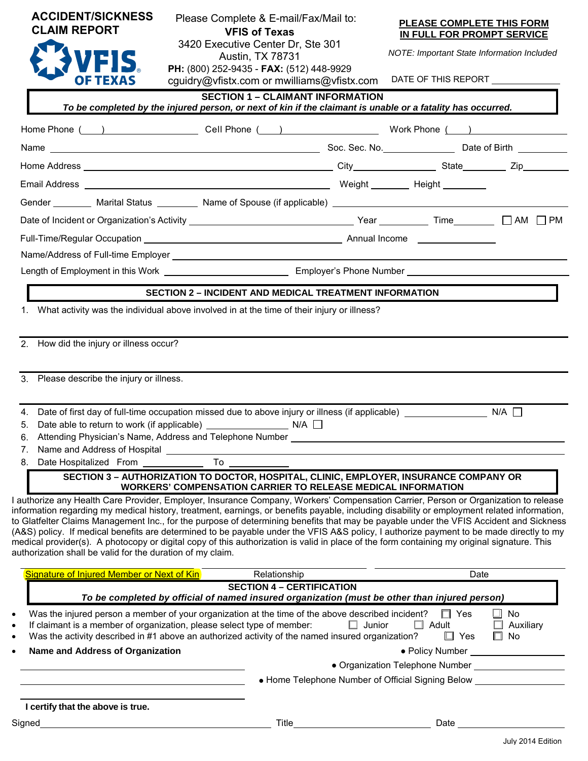| <b>CLAIM REPORT</b>                                                                                                                                                                                                                                                                                                                                                                                                                                                                                                                                                                                                                                                                                                                                                                                                                                                                                                                                                                          | Please Complete & E-mail/Fax/Mail to:<br><b>VFIS of Texas</b><br>3420 Executive Center Dr, Ste 301<br>Austin, TX 78731<br>PH: (800) 252-9435 - FAX: (512) 448-9929<br>cquidry@vfistx.com or mwilliams@vfistx.com                                                                    |                                                                                                                       | PLEASE COMPLETE THIS FORM<br>IN FULL FOR PROMPT SERVICE<br>NOTE: Important State Information Included<br>DATE OF THIS REPORT _____________ |                                 |
|----------------------------------------------------------------------------------------------------------------------------------------------------------------------------------------------------------------------------------------------------------------------------------------------------------------------------------------------------------------------------------------------------------------------------------------------------------------------------------------------------------------------------------------------------------------------------------------------------------------------------------------------------------------------------------------------------------------------------------------------------------------------------------------------------------------------------------------------------------------------------------------------------------------------------------------------------------------------------------------------|-------------------------------------------------------------------------------------------------------------------------------------------------------------------------------------------------------------------------------------------------------------------------------------|-----------------------------------------------------------------------------------------------------------------------|--------------------------------------------------------------------------------------------------------------------------------------------|---------------------------------|
| VFIS.                                                                                                                                                                                                                                                                                                                                                                                                                                                                                                                                                                                                                                                                                                                                                                                                                                                                                                                                                                                        |                                                                                                                                                                                                                                                                                     |                                                                                                                       |                                                                                                                                            |                                 |
|                                                                                                                                                                                                                                                                                                                                                                                                                                                                                                                                                                                                                                                                                                                                                                                                                                                                                                                                                                                              |                                                                                                                                                                                                                                                                                     |                                                                                                                       |                                                                                                                                            |                                 |
|                                                                                                                                                                                                                                                                                                                                                                                                                                                                                                                                                                                                                                                                                                                                                                                                                                                                                                                                                                                              |                                                                                                                                                                                                                                                                                     |                                                                                                                       |                                                                                                                                            |                                 |
|                                                                                                                                                                                                                                                                                                                                                                                                                                                                                                                                                                                                                                                                                                                                                                                                                                                                                                                                                                                              |                                                                                                                                                                                                                                                                                     |                                                                                                                       |                                                                                                                                            |                                 |
|                                                                                                                                                                                                                                                                                                                                                                                                                                                                                                                                                                                                                                                                                                                                                                                                                                                                                                                                                                                              |                                                                                                                                                                                                                                                                                     |                                                                                                                       |                                                                                                                                            |                                 |
|                                                                                                                                                                                                                                                                                                                                                                                                                                                                                                                                                                                                                                                                                                                                                                                                                                                                                                                                                                                              |                                                                                                                                                                                                                                                                                     |                                                                                                                       |                                                                                                                                            |                                 |
|                                                                                                                                                                                                                                                                                                                                                                                                                                                                                                                                                                                                                                                                                                                                                                                                                                                                                                                                                                                              |                                                                                                                                                                                                                                                                                     |                                                                                                                       |                                                                                                                                            |                                 |
|                                                                                                                                                                                                                                                                                                                                                                                                                                                                                                                                                                                                                                                                                                                                                                                                                                                                                                                                                                                              |                                                                                                                                                                                                                                                                                     |                                                                                                                       |                                                                                                                                            |                                 |
|                                                                                                                                                                                                                                                                                                                                                                                                                                                                                                                                                                                                                                                                                                                                                                                                                                                                                                                                                                                              |                                                                                                                                                                                                                                                                                     |                                                                                                                       |                                                                                                                                            |                                 |
|                                                                                                                                                                                                                                                                                                                                                                                                                                                                                                                                                                                                                                                                                                                                                                                                                                                                                                                                                                                              |                                                                                                                                                                                                                                                                                     |                                                                                                                       |                                                                                                                                            |                                 |
|                                                                                                                                                                                                                                                                                                                                                                                                                                                                                                                                                                                                                                                                                                                                                                                                                                                                                                                                                                                              |                                                                                                                                                                                                                                                                                     |                                                                                                                       |                                                                                                                                            |                                 |
|                                                                                                                                                                                                                                                                                                                                                                                                                                                                                                                                                                                                                                                                                                                                                                                                                                                                                                                                                                                              | <b>SECTION 2 - INCIDENT AND MEDICAL TREATMENT INFORMATION</b>                                                                                                                                                                                                                       |                                                                                                                       |                                                                                                                                            |                                 |
| 2. How did the injury or illness occur?<br>3. Please describe the injury or illness.                                                                                                                                                                                                                                                                                                                                                                                                                                                                                                                                                                                                                                                                                                                                                                                                                                                                                                         |                                                                                                                                                                                                                                                                                     |                                                                                                                       |                                                                                                                                            |                                 |
| 4.<br>Attending Physician's Name, Address and Telephone Number [18] [18] The Manus Control of the Manus Control of the Ma<br>6.<br>Name and Address of Hospital<br>7.<br>8. Date Hospitalized From _<br>I authorize any Health Care Provider, Employer, Insurance Company, Workers' Compensation Carrier, Person or Organization to release<br>information regarding my medical history, treatment, earnings, or benefits payable, including disability or employment related information,<br>to Glatfelter Claims Management Inc., for the purpose of determining benefits that may be payable under the VFIS Accident and Sickness<br>(A&S) policy. If medical benefits are determined to be payable under the VFIS A&S policy, I authorize payment to be made directly to my<br>medical provider(s). A photocopy or digital copy of this authorization is valid in place of the form containing my original signature. This<br>authorization shall be valid for the duration of my claim. | Date of first day of full-time occupation missed due to above injury or illness (if applicable) _____________<br>To<br>SECTION 3 - AUTHORIZATION TO DOCTOR, HOSPITAL, CLINIC, EMPLOYER, INSURANCE COMPANY OR<br><b>WORKERS' COMPENSATION CARRIER TO RELEASE MEDICAL INFORMATION</b> | <u> 1980 - Johann Harry Harry Harry Harry Harry Harry Harry Harry Harry Harry Harry Harry Harry Harry Harry Harry</u> |                                                                                                                                            | $N/A$ $\Box$                    |
|                                                                                                                                                                                                                                                                                                                                                                                                                                                                                                                                                                                                                                                                                                                                                                                                                                                                                                                                                                                              |                                                                                                                                                                                                                                                                                     |                                                                                                                       |                                                                                                                                            |                                 |
| Signature of Injured Member or Next of Kin                                                                                                                                                                                                                                                                                                                                                                                                                                                                                                                                                                                                                                                                                                                                                                                                                                                                                                                                                   | Relationship<br><b>SECTION 4 - CERTIFICATION</b>                                                                                                                                                                                                                                    |                                                                                                                       |                                                                                                                                            | Date                            |
|                                                                                                                                                                                                                                                                                                                                                                                                                                                                                                                                                                                                                                                                                                                                                                                                                                                                                                                                                                                              | To be completed by official of named insured organization (must be other than injured person)                                                                                                                                                                                       |                                                                                                                       |                                                                                                                                            |                                 |
| Was the injured person a member of your organization at the time of the above described incident?<br>If claimant is a member of organization, please select type of member:<br>Was the activity described in #1 above an authorized activity of the named insured organization?                                                                                                                                                                                                                                                                                                                                                                                                                                                                                                                                                                                                                                                                                                              |                                                                                                                                                                                                                                                                                     | $\Box$ Junior                                                                                                         | $\Box$ Yes<br>$\Box$ Adult<br>$\Box$ Yes                                                                                                   | No<br>Auxiliary<br>$\square$ No |
| Name and Address of Organization                                                                                                                                                                                                                                                                                                                                                                                                                                                                                                                                                                                                                                                                                                                                                                                                                                                                                                                                                             |                                                                                                                                                                                                                                                                                     |                                                                                                                       |                                                                                                                                            |                                 |
|                                                                                                                                                                                                                                                                                                                                                                                                                                                                                                                                                                                                                                                                                                                                                                                                                                                                                                                                                                                              |                                                                                                                                                                                                                                                                                     |                                                                                                                       | • Home Telephone Number of Official Signing Below                                                                                          |                                 |